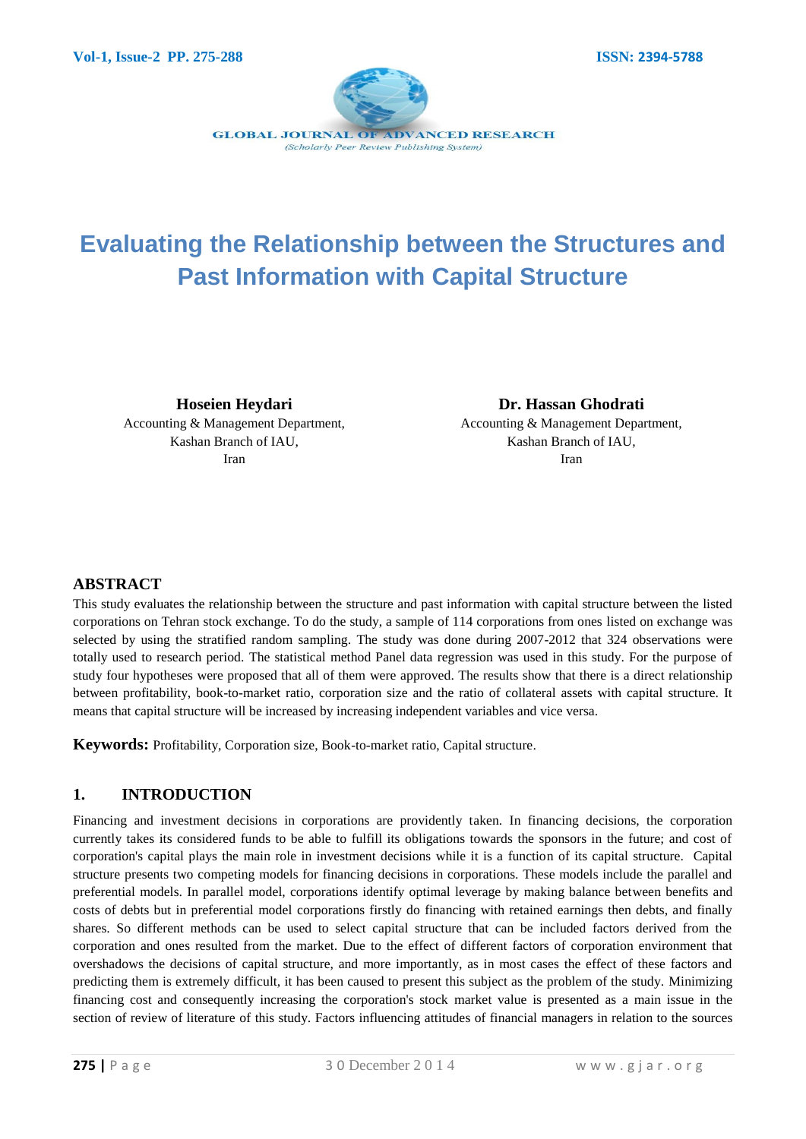

# **Evaluating the Relationship between the Structures and Past Information with Capital Structure**

**Hoseien Heydari**  Accounting & Management Department, Kashan Branch of IAU, Iran

**Dr. Hassan Ghodrati**  Accounting & Management Department, Kashan Branch of IAU, Iran

# **ABSTRACT**

This study evaluates the relationship between the structure and past information with capital structure between the listed corporations on Tehran stock exchange. To do the study, a sample of 114 corporations from ones listed on exchange was selected by using the stratified random sampling. The study was done during 2007-2012 that 324 observations were totally used to research period. The statistical method Panel data regression was used in this study. For the purpose of study four hypotheses were proposed that all of them were approved. The results show that there is a direct relationship between profitability, book-to-market ratio, corporation size and the ratio of collateral assets with capital structure. It means that capital structure will be increased by increasing independent variables and vice versa.

**Keywords:** Profitability, Corporation size, Book-to-market ratio, Capital structure.

# **1. INTRODUCTION**

Financing and investment decisions in corporations are providently taken. In financing decisions, the corporation currently takes its considered funds to be able to fulfill its obligations towards the sponsors in the future; and cost of corporation's capital plays the main role in investment decisions while it is a function of its capital structure. Capital structure presents two competing models for financing decisions in corporations. These models include the parallel and preferential models. In parallel model, corporations identify optimal leverage by making balance between benefits and costs of debts but in preferential model corporations firstly do financing with retained earnings then debts, and finally shares. So different methods can be used to select capital structure that can be included factors derived from the corporation and ones resulted from the market. Due to the effect of different factors of corporation environment that overshadows the decisions of capital structure, and more importantly, as in most cases the effect of these factors and predicting them is extremely difficult, it has been caused to present this subject as the problem of the study. Minimizing financing cost and consequently increasing the corporation's stock market value is presented as a main issue in the section of review of literature of this study. Factors influencing attitudes of financial managers in relation to the sources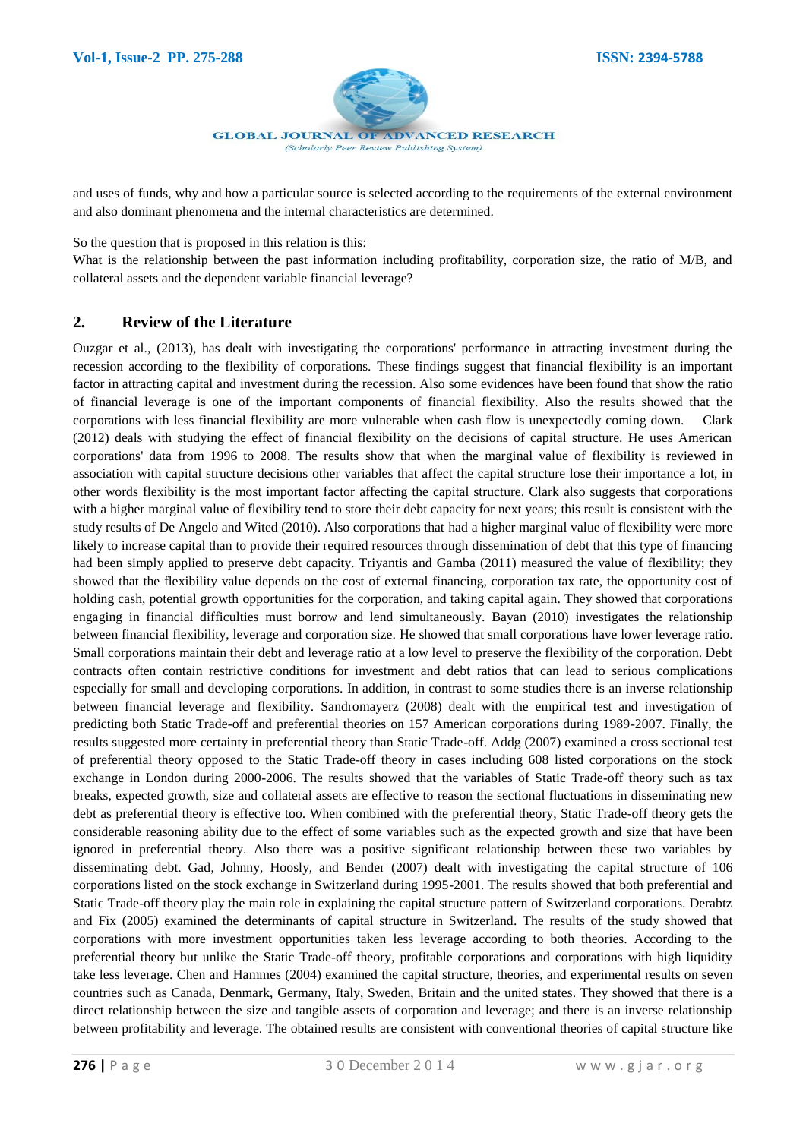

and uses of funds, why and how a particular source is selected according to the requirements of the external environment and also dominant phenomena and the internal characteristics are determined.

So the question that is proposed in this relation is this:

What is the relationship between the past information including profitability, corporation size, the ratio of M/B, and collateral assets and the dependent variable financial leverage?

# **2. Review of the Literature**

Ouzgar et al., (2013), has dealt with investigating the corporations' performance in attracting investment during the recession according to the flexibility of corporations. These findings suggest that financial flexibility is an important factor in attracting capital and investment during the recession. Also some evidences have been found that show the ratio of financial leverage is one of the important components of financial flexibility. Also the results showed that the corporations with less financial flexibility are more vulnerable when cash flow is unexpectedly coming down. Clark (2012) deals with studying the effect of financial flexibility on the decisions of capital structure. He uses American corporations' data from 1996 to 2008. The results show that when the marginal value of flexibility is reviewed in association with capital structure decisions other variables that affect the capital structure lose their importance a lot, in other words flexibility is the most important factor affecting the capital structure. Clark also suggests that corporations with a higher marginal value of flexibility tend to store their debt capacity for next years; this result is consistent with the study results of De Angelo and Wited (2010). Also corporations that had a higher marginal value of flexibility were more likely to increase capital than to provide their required resources through dissemination of debt that this type of financing had been simply applied to preserve debt capacity. Triyantis and Gamba (2011) measured the value of flexibility; they showed that the flexibility value depends on the cost of external financing, corporation tax rate, the opportunity cost of holding cash, potential growth opportunities for the corporation, and taking capital again. They showed that corporations engaging in financial difficulties must borrow and lend simultaneously. Bayan (2010) investigates the relationship between financial flexibility, leverage and corporation size. He showed that small corporations have lower leverage ratio. Small corporations maintain their debt and leverage ratio at a low level to preserve the flexibility of the corporation. Debt contracts often contain restrictive conditions for investment and debt ratios that can lead to serious complications especially for small and developing corporations. In addition, in contrast to some studies there is an inverse relationship between financial leverage and flexibility. Sandromayerz (2008) dealt with the empirical test and investigation of predicting both Static Trade-off and preferential theories on 157 American corporations during 1989-2007. Finally, the results suggested more certainty in preferential theory than Static Trade-off. Addg (2007) examined a cross sectional test of preferential theory opposed to the Static Trade-off theory in cases including 608 listed corporations on the stock exchange in London during 2000-2006. The results showed that the variables of Static Trade-off theory such as tax breaks, expected growth, size and collateral assets are effective to reason the sectional fluctuations in disseminating new debt as preferential theory is effective too. When combined with the preferential theory, Static Trade-off theory gets the considerable reasoning ability due to the effect of some variables such as the expected growth and size that have been ignored in preferential theory. Also there was a positive significant relationship between these two variables by disseminating debt. Gad, Johnny, Hoosly, and Bender (2007) dealt with investigating the capital structure of 106 corporations listed on the stock exchange in Switzerland during 1995-2001. The results showed that both preferential and Static Trade-off theory play the main role in explaining the capital structure pattern of Switzerland corporations. Derabtz and Fix (2005) examined the determinants of capital structure in Switzerland. The results of the study showed that corporations with more investment opportunities taken less leverage according to both theories. According to the preferential theory but unlike the Static Trade-off theory, profitable corporations and corporations with high liquidity take less leverage. Chen and Hammes (2004) examined the capital structure, theories, and experimental results on seven countries such as Canada, Denmark, Germany, Italy, Sweden, Britain and the united states. They showed that there is a direct relationship between the size and tangible assets of corporation and leverage; and there is an inverse relationship between profitability and leverage. The obtained results are consistent with conventional theories of capital structure like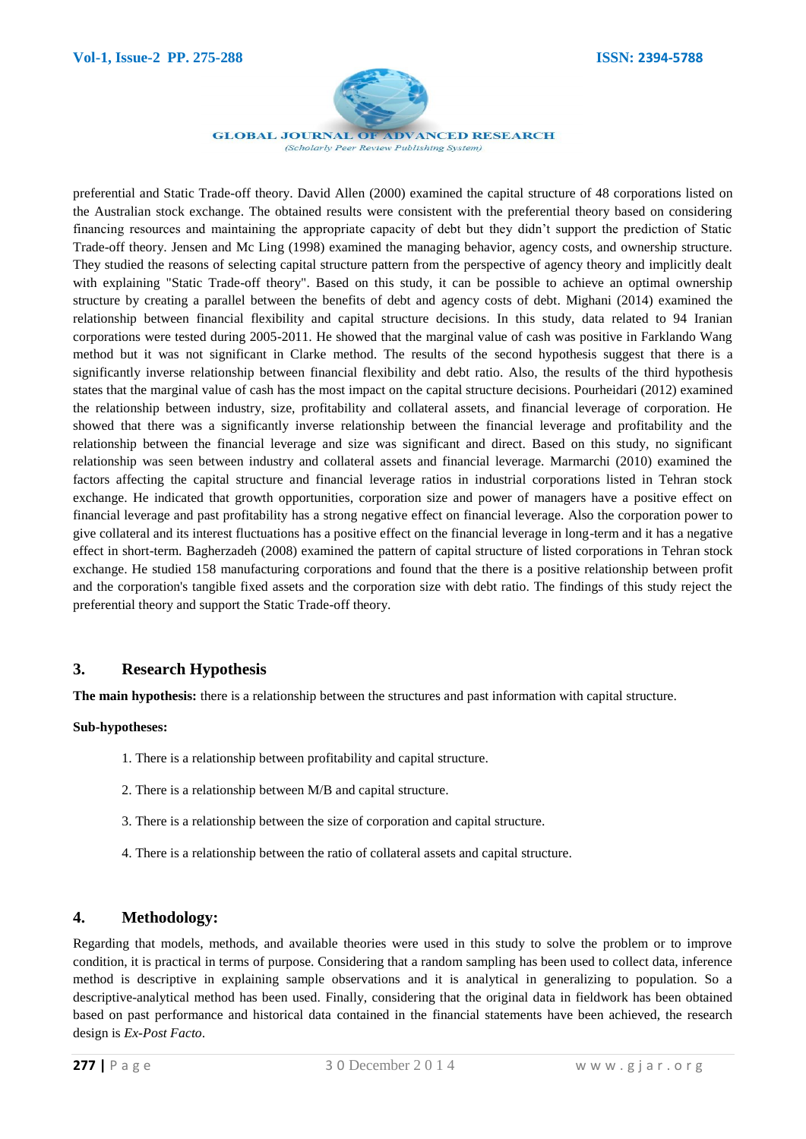

**GLOBAL JOURNAL OF ADVANCED RESEARCH** (Scholarly Peer Review Publishing System)

preferential and Static Trade-off theory. David Allen (2000) examined the capital structure of 48 corporations listed on the Australian stock exchange. The obtained results were consistent with the preferential theory based on considering financing resources and maintaining the appropriate capacity of debt but they didn't support the prediction of Static Trade-off theory. Jensen and Mc Ling (1998) examined the managing behavior, agency costs, and ownership structure. They studied the reasons of selecting capital structure pattern from the perspective of agency theory and implicitly dealt with explaining "Static Trade-off theory". Based on this study, it can be possible to achieve an optimal ownership structure by creating a parallel between the benefits of debt and agency costs of debt. Mighani (2014) examined the relationship between financial flexibility and capital structure decisions. In this study, data related to 94 Iranian corporations were tested during 2005-2011. He showed that the marginal value of cash was positive in Farklando Wang method but it was not significant in Clarke method. The results of the second hypothesis suggest that there is a significantly inverse relationship between financial flexibility and debt ratio. Also, the results of the third hypothesis states that the marginal value of cash has the most impact on the capital structure decisions. Pourheidari (2012) examined the relationship between industry, size, profitability and collateral assets, and financial leverage of corporation. He showed that there was a significantly inverse relationship between the financial leverage and profitability and the relationship between the financial leverage and size was significant and direct. Based on this study, no significant relationship was seen between industry and collateral assets and financial leverage. Marmarchi (2010) examined the factors affecting the capital structure and financial leverage ratios in industrial corporations listed in Tehran stock exchange. He indicated that growth opportunities, corporation size and power of managers have a positive effect on financial leverage and past profitability has a strong negative effect on financial leverage. Also the corporation power to give collateral and its interest fluctuations has a positive effect on the financial leverage in long-term and it has a negative effect in short-term. Bagherzadeh (2008) examined the pattern of capital structure of listed corporations in Tehran stock exchange. He studied 158 manufacturing corporations and found that the there is a positive relationship between profit and the corporation's tangible fixed assets and the corporation size with debt ratio. The findings of this study reject the preferential theory and support the Static Trade-off theory.

# **3. Research Hypothesis**

**The main hypothesis:** there is a relationship between the structures and past information with capital structure.

# **Sub-hypotheses:**

- 1. There is a relationship between profitability and capital structure.
- 2. There is a relationship between M/B and capital structure.
- 3. There is a relationship between the size of corporation and capital structure.
- 4. There is a relationship between the ratio of collateral assets and capital structure.

# **4. Methodology:**

Regarding that models, methods, and available theories were used in this study to solve the problem or to improve condition, it is practical in terms of purpose. Considering that a random sampling has been used to collect data, inference method is descriptive in explaining sample observations and it is analytical in generalizing to population. So a descriptive-analytical method has been used. Finally, considering that the original data in fieldwork has been obtained based on past performance and historical data contained in the financial statements have been achieved, the research design is *Ex-Post Facto*.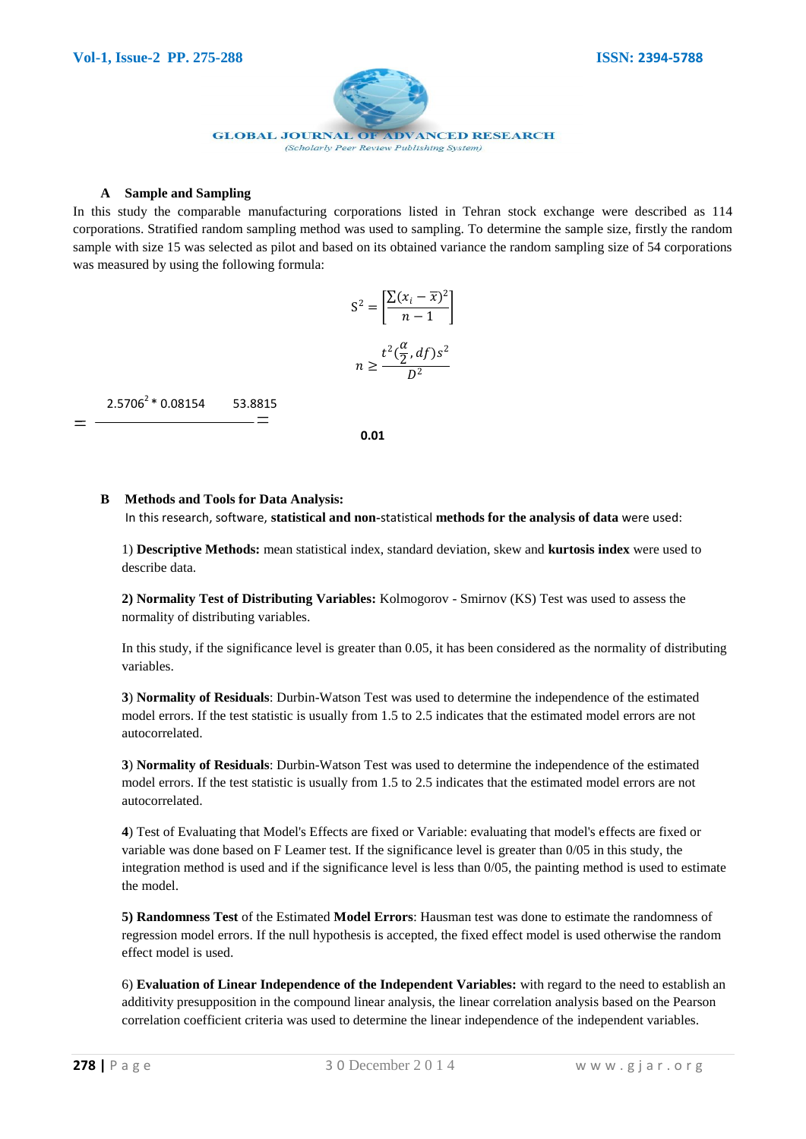

#### **A Sample and Sampling**

In this study the comparable manufacturing corporations listed in Tehran stock exchange were described as 114 corporations. Stratified random sampling method was used to sampling. To determine the sample size, firstly the random sample with size 15 was selected as pilot and based on its obtained variance the random sampling size of 54 corporations was measured by using the following formula:

$$
S^{2} = \left[\frac{\sum (x_{i} - \overline{x})^{2}}{n - 1}\right]
$$

$$
n \ge \frac{t^{2}(\frac{\alpha}{2}, df)s^{2}}{D^{2}}
$$

 $2.5706^{2} * 0.08154$  53.8815

 $\overline{\phantom{0}}$ 

**0.01**

#### **B Methods and Tools for Data Analysis:**

 $\overline{\phantom{a}}$ 

In this research, software, **statistical and non-**statistical **methods for the analysis of data** were used:

1) **Descriptive Methods:** mean statistical index, standard deviation, skew and **kurtosis index** were used to describe data.

**2) Normality Test of Distributing Variables:** Kolmogorov - Smirnov (KS) Test was used to assess the normality of distributing variables.

In this study, if the significance level is greater than 0.05, it has been considered as the normality of distributing variables.

**3**) **Normality of Residuals**: Durbin-Watson Test was used to determine the independence of the estimated model errors. If the test statistic is usually from 1.5 to 2.5 indicates that the estimated model errors are not autocorrelated.

**3**) **Normality of Residuals**: Durbin-Watson Test was used to determine the independence of the estimated model errors. If the test statistic is usually from 1.5 to 2.5 indicates that the estimated model errors are not autocorrelated.

**4**) Test of Evaluating that Model's Effects are fixed or Variable: evaluating that model's effects are fixed or variable was done based on F Leamer test. If the significance level is greater than 0/05 in this study, the integration method is used and if the significance level is less than 0/05, the painting method is used to estimate the model.

**5) Randomness Test** of the Estimated **Model Errors**: Hausman test was done to estimate the randomness of regression model errors. If the null hypothesis is accepted, the fixed effect model is used otherwise the random effect model is used.

6) **Evaluation of Linear Independence of the Independent Variables:** with regard to the need to establish an additivity presupposition in the compound linear analysis, the linear correlation analysis based on the Pearson correlation coefficient criteria was used to determine the linear independence of the independent variables.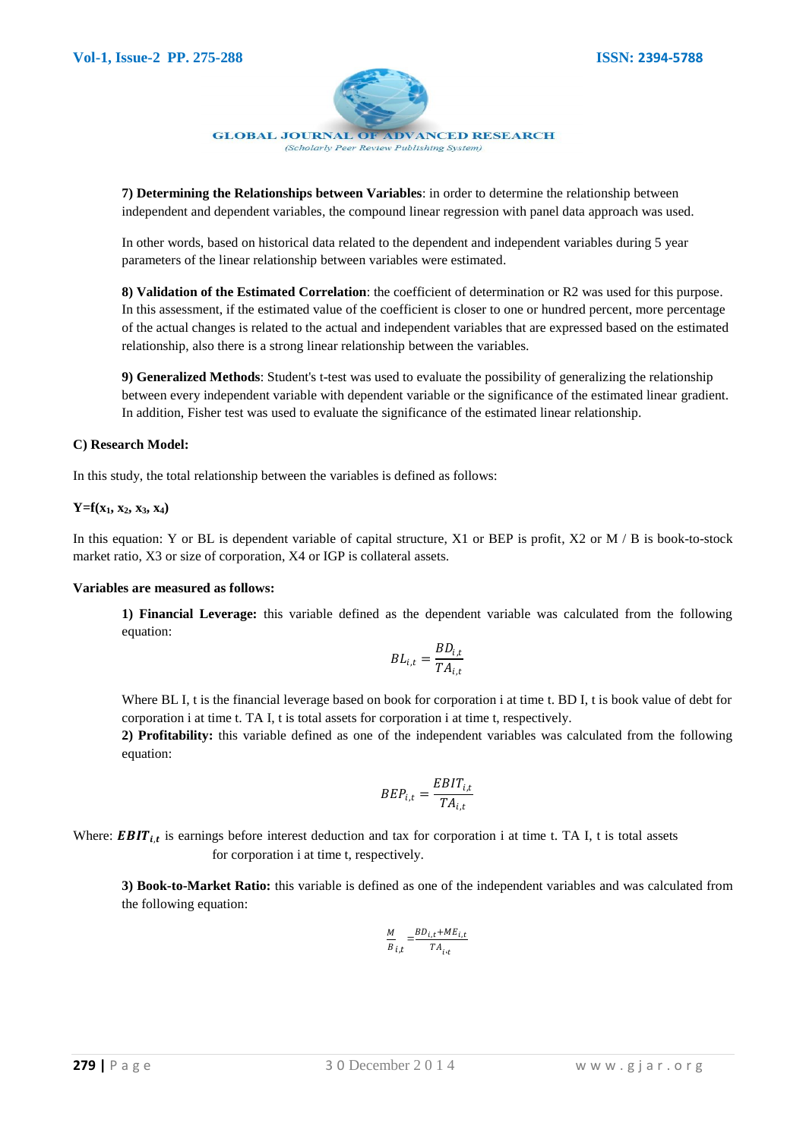

**7) Determining the Relationships between Variables**: in order to determine the relationship between independent and dependent variables, the compound linear regression with panel data approach was used.

In other words, based on historical data related to the dependent and independent variables during 5 year parameters of the linear relationship between variables were estimated.

**8) Validation of the Estimated Correlation**: the coefficient of determination or R2 was used for this purpose. In this assessment, if the estimated value of the coefficient is closer to one or hundred percent, more percentage of the actual changes is related to the actual and independent variables that are expressed based on the estimated relationship, also there is a strong linear relationship between the variables.

**9) Generalized Methods**: Student's t-test was used to evaluate the possibility of generalizing the relationship between every independent variable with dependent variable or the significance of the estimated linear gradient. In addition, Fisher test was used to evaluate the significance of the estimated linear relationship.

#### **C) Research Model:**

In this study, the total relationship between the variables is defined as follows:

#### $Y = f(x_1, x_2, x_3, x_4)$

In this equation: Y or BL is dependent variable of capital structure, X1 or BEP is profit, X2 or M  $\prime$  B is book-to-stock market ratio, X3 or size of corporation, X4 or IGP is collateral assets.

#### **Variables are measured as follows:**

**1) Financial Leverage:** this variable defined as the dependent variable was calculated from the following equation:

$$
BL_{i,t} = \frac{BD_{i,t}}{TA_{i,t}}
$$

Where BL I, t is the financial leverage based on book for corporation i at time t. BD I, t is book value of debt for corporation i at time t. TA I, t is total assets for corporation i at time t, respectively.

**2) Profitability:** this variable defined as one of the independent variables was calculated from the following equation:

$$
BEP_{i,t} = \frac{EBIT_{i,t}}{TA_{i,t}}
$$

Where:  $EBIT_{i,t}$  is earnings before interest deduction and tax for corporation i at time t. TA I, t is total assets for corporation i at time t, respectively.

**3) Book-to-Market Ratio:** this variable is defined as one of the independent variables and was calculated from the following equation:

$$
\frac{M}{B} \frac{BD_{i,t} + ME_{i,t}}{TA_{i,t}}
$$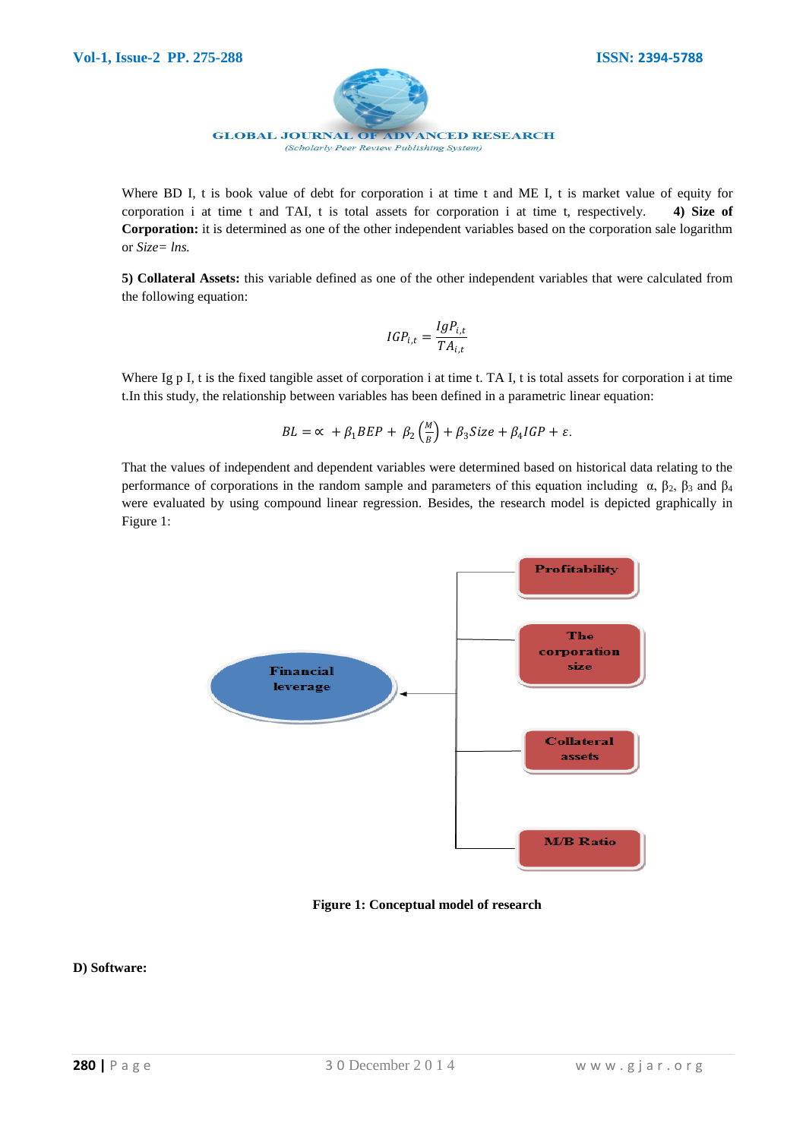

Where BD I, t is book value of debt for corporation i at time t and ME I, t is market value of equity for corporation i at time t and TAI, t is total assets for corporation i at time t, respectively. **4) Size of Corporation:** it is determined as one of the other independent variables based on the corporation sale logarithm or *Size= lns.* 

**5) Collateral Assets:** this variable defined as one of the other independent variables that were calculated from the following equation:

$$
IGP_{i,t} = \frac{IgP_{i,t}}{TA_{i,t}}
$$

Where Ig p I, t is the fixed tangible asset of corporation i at time t. TA I, t is total assets for corporation i at time t.In this study, the relationship between variables has been defined in a parametric linear equation:

$$
BL = \propto +\beta_1 BEP + \beta_2 \left(\frac{M}{B}\right) + \beta_3 Size + \beta_4 IGP + \varepsilon.
$$

That the values of independent and dependent variables were determined based on historical data relating to the performance of corporations in the random sample and parameters of this equation including  $\alpha$ ,  $\beta_2$ ,  $\beta_3$  and  $\beta_4$ were evaluated by using compound linear regression. Besides, the research model is depicted graphically in Figure 1:



**Figure 1: Conceptual model of research**

#### **D) Software:**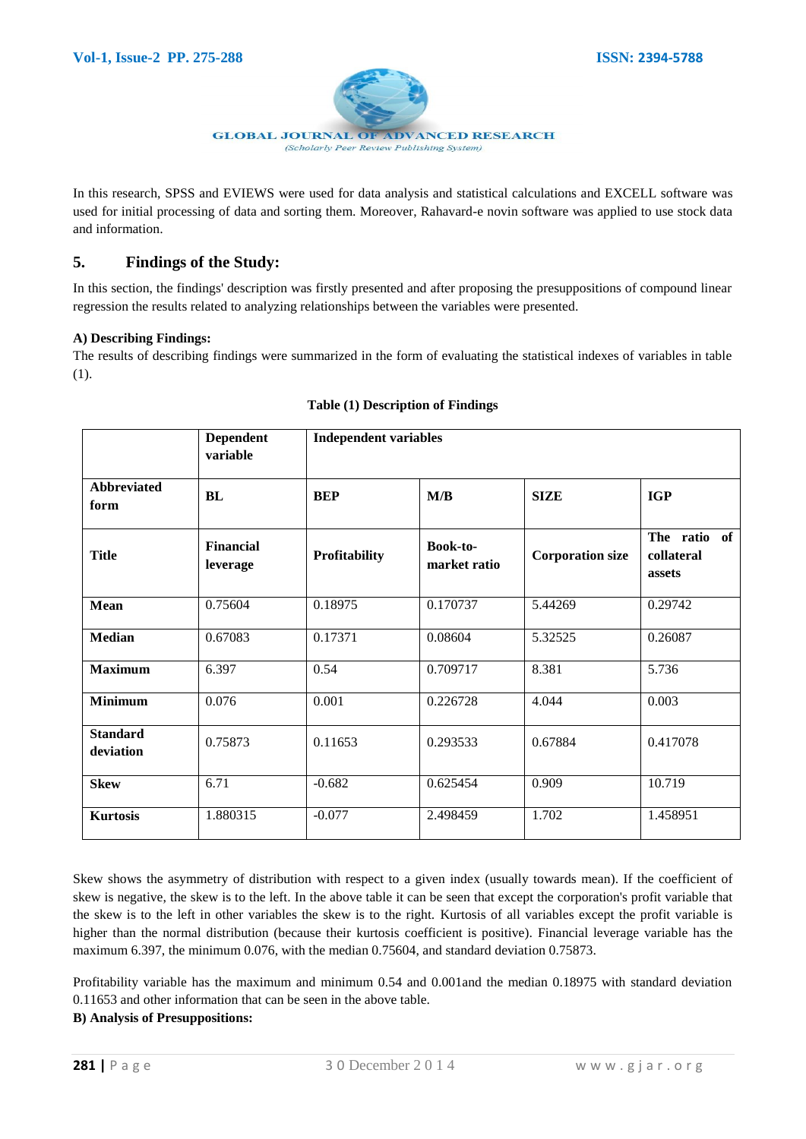

In this research, SPSS and EVIEWS were used for data analysis and statistical calculations and EXCELL software was used for initial processing of data and sorting them. Moreover, Rahavard-e novin software was applied to use stock data and information.

# **5. Findings of the Study:**

In this section, the findings' description was firstly presented and after proposing the presuppositions of compound linear regression the results related to analyzing relationships between the variables were presented.

#### **A) Describing Findings:**

The results of describing findings were summarized in the form of evaluating the statistical indexes of variables in table (1).

|                              | <b>Dependent</b><br>variable |               | <b>Independent variables</b> |                         |                                      |  |  |
|------------------------------|------------------------------|---------------|------------------------------|-------------------------|--------------------------------------|--|--|
| <b>Abbreviated</b><br>form   | BL                           | <b>BEP</b>    | M/B                          | <b>SIZE</b>             | <b>IGP</b>                           |  |  |
| <b>Title</b>                 | <b>Financial</b><br>leverage | Profitability | Book-to-<br>market ratio     | <b>Corporation size</b> | The ratio of<br>collateral<br>assets |  |  |
| <b>Mean</b>                  | 0.75604                      | 0.18975       | 0.170737                     | 5.44269                 | 0.29742                              |  |  |
| <b>Median</b>                | 0.67083                      | 0.17371       | 0.08604                      | 5.32525                 | 0.26087                              |  |  |
| <b>Maximum</b>               | 6.397                        | 0.54          | 0.709717                     | 8.381                   | 5.736                                |  |  |
| $\overline{\text{Minimum}}$  | 0.076                        | 0.001         | 0.226728                     | 4.044                   | 0.003                                |  |  |
| <b>Standard</b><br>deviation | 0.75873                      | 0.11653       | 0.293533                     | 0.67884                 | 0.417078                             |  |  |
| <b>Skew</b>                  | 6.71                         | $-0.682$      | 0.625454                     | 0.909                   | 10.719                               |  |  |
| <b>Kurtosis</b>              | 1.880315                     | $-0.077$      | 2.498459                     | 1.702                   | 1.458951                             |  |  |

#### **Table (1) Description of Findings**

Skew shows the asymmetry of distribution with respect to a given index (usually towards mean). If the coefficient of skew is negative, the skew is to the left. In the above table it can be seen that except the corporation's profit variable that the skew is to the left in other variables the skew is to the right. Kurtosis of all variables except the profit variable is higher than the normal distribution (because their kurtosis coefficient is positive). Financial leverage variable has the maximum 6.397, the minimum 0.076, with the median 0.75604, and standard deviation 0.75873.

Profitability variable has the maximum and minimum 0.54 and 0.001and the median 0.18975 with standard deviation 0.11653 and other information that can be seen in the above table.

#### **B) Analysis of Presuppositions:**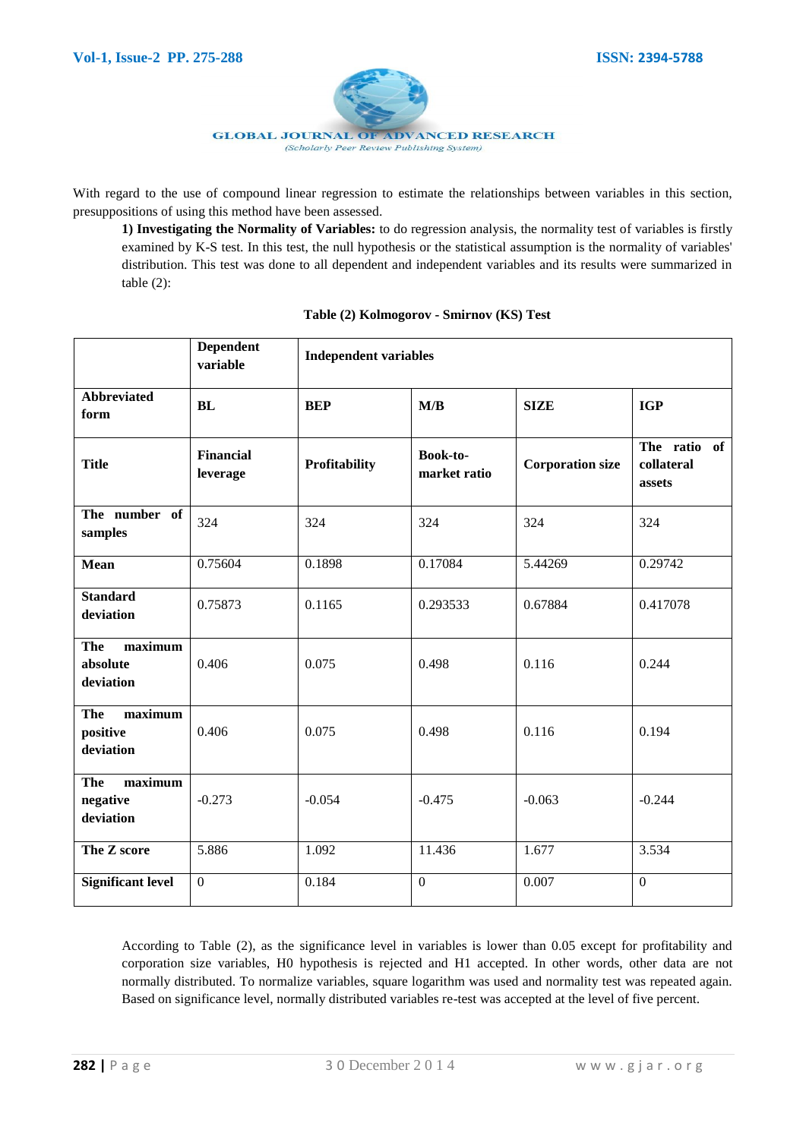

With regard to the use of compound linear regression to estimate the relationships between variables in this section, presuppositions of using this method have been assessed.

**1) Investigating the Normality of Variables:** to do regression analysis, the normality test of variables is firstly examined by K-S test. In this test, the null hypothesis or the statistical assumption is the normality of variables' distribution. This test was done to all dependent and independent variables and its results were summarized in table (2):

|                                         | <b>Dependent</b><br>variable | <b>Independent variables</b> |                                 |                         |                                      |  |
|-----------------------------------------|------------------------------|------------------------------|---------------------------------|-------------------------|--------------------------------------|--|
| <b>Abbreviated</b><br>form              | <b>BL</b>                    | <b>BEP</b>                   | M/B                             | <b>SIZE</b>             | <b>IGP</b>                           |  |
| <b>Title</b>                            | <b>Financial</b><br>leverage | Profitability                | <b>Book-to-</b><br>market ratio | <b>Corporation size</b> | The ratio of<br>collateral<br>assets |  |
| The number of<br>samples                | 324                          | 324                          | 324                             | 324                     | 324                                  |  |
| <b>Mean</b>                             | 0.75604                      | 0.1898                       | 0.17084                         | 5.44269                 | 0.29742                              |  |
| <b>Standard</b><br>deviation            | 0.75873                      | 0.1165                       | 0.293533                        | 0.67884                 | 0.417078                             |  |
| maximum<br>The<br>absolute<br>deviation | 0.406                        | 0.075                        | 0.498                           | 0.116                   | 0.244                                |  |
| maximum<br>The<br>positive<br>deviation | 0.406                        | 0.075                        | 0.498                           | 0.116                   | 0.194                                |  |
| maximum<br>The<br>negative<br>deviation | $-0.273$                     | $-0.054$                     | $-0.475$                        | $-0.063$                | $-0.244$                             |  |
| The Z score                             | 5.886                        | 1.092                        | 11.436                          | 1.677                   | 3.534                                |  |
| <b>Significant level</b>                | $\mathbf{0}$                 | 0.184                        | $\mathbf{0}$                    | 0.007                   | $\mathbf{0}$                         |  |

#### **Table (2) Kolmogorov - Smirnov (KS) Test**

According to Table (2), as the significance level in variables is lower than 0.05 except for profitability and corporation size variables, H0 hypothesis is rejected and H1 accepted. In other words, other data are not normally distributed. To normalize variables, square logarithm was used and normality test was repeated again. Based on significance level, normally distributed variables re-test was accepted at the level of five percent.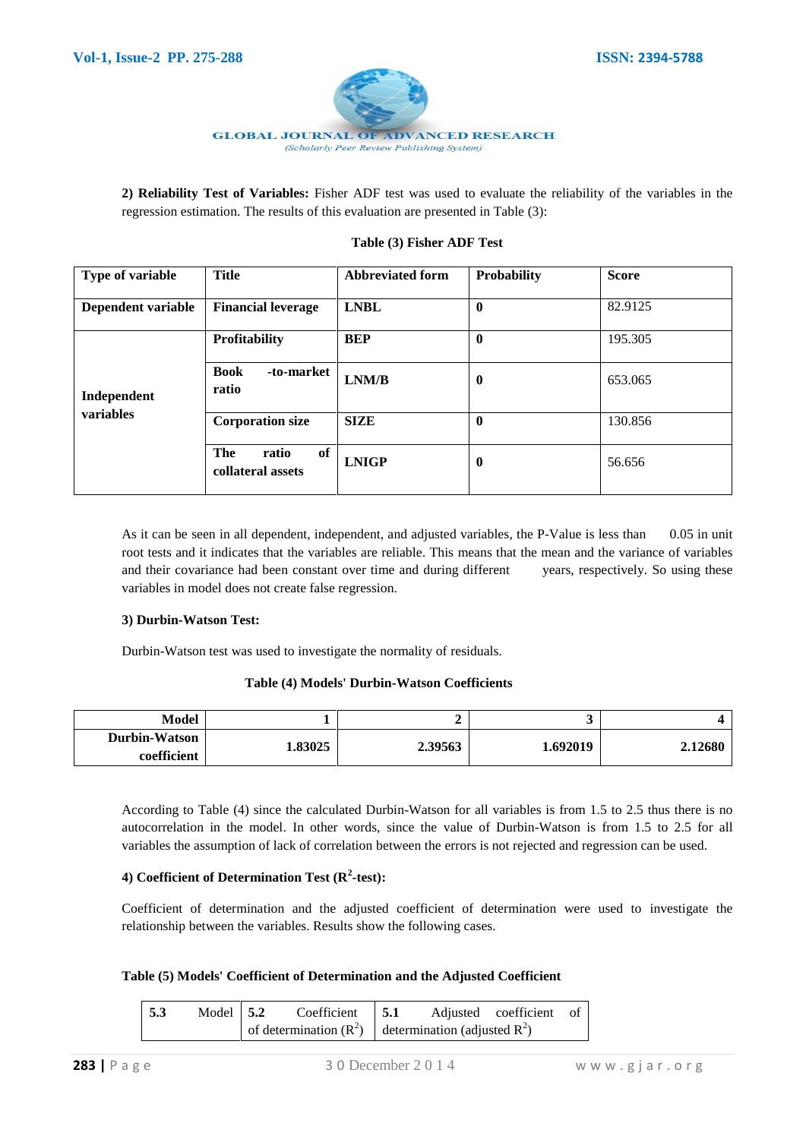

**2) Reliability Test of Variables:** Fisher ADF test was used to evaluate the reliability of the variables in the regression estimation. The results of this evaluation are presented in Table (3):

#### **Table (3) Fisher ADF Test**

| Type of variable   | <b>Title</b>                            | <b>Abbreviated form</b> | <b>Probability</b> | <b>Score</b> |
|--------------------|-----------------------------------------|-------------------------|--------------------|--------------|
| Dependent variable | <b>Financial leverage</b>               | <b>LNBL</b>             | $\bf{0}$           | 82.9125      |
|                    | <b>Profitability</b>                    | BEP                     | $\mathbf{0}$       | 195.305      |
| Independent        | -to-market<br><b>Book</b><br>ratio      | LNM/B                   | $\bf{0}$           | 653.065      |
| variables          | <b>Corporation size</b>                 | <b>SIZE</b>             | $\bf{0}$           | 130.856      |
|                    | of<br>The<br>ratio<br>collateral assets | <b>LNIGP</b>            | $\bf{0}$           | 56.656       |

As it can be seen in all dependent, independent, and adjusted variables, the P-Value is less than 0.05 in unit root tests and it indicates that the variables are reliable. This means that the mean and the variance of variables and their covariance had been constant over time and during different years, respectively. So using these variables in model does not create false regression.

#### **3) Durbin-Watson Test:**

Durbin-Watson test was used to investigate the normality of residuals.

#### **Table (4) Models' Durbin-Watson Coefficients**

| Model                |         |         |          |         |
|----------------------|---------|---------|----------|---------|
| <b>Durbin-Watson</b> | 1.83025 | 2.39563 | 1.692019 | 2.12680 |
| coefficient          |         |         |          |         |

According to Table (4) since the calculated Durbin-Watson for all variables is from 1.5 to 2.5 thus there is no autocorrelation in the model. In other words, since the value of Durbin-Watson is from 1.5 to 2.5 for all variables the assumption of lack of correlation between the errors is not rejected and regression can be used.

### **4) Coefficient of Determination Test (R<sup>2</sup> -test):**

Coefficient of determination and the adjusted coefficient of determination were used to investigate the relationship between the variables. Results show the following cases.

#### **Table (5) Models' Coefficient of Determination and the Adjusted Coefficient**

| 5.3 | Model $\vert$ 5.2 | $Coefficient \mid 5.1$                                   |  | Adjusted coefficient of |  |
|-----|-------------------|----------------------------------------------------------|--|-------------------------|--|
|     |                   | of determination $(R^2)$ determination (adjusted $R^2$ ) |  |                         |  |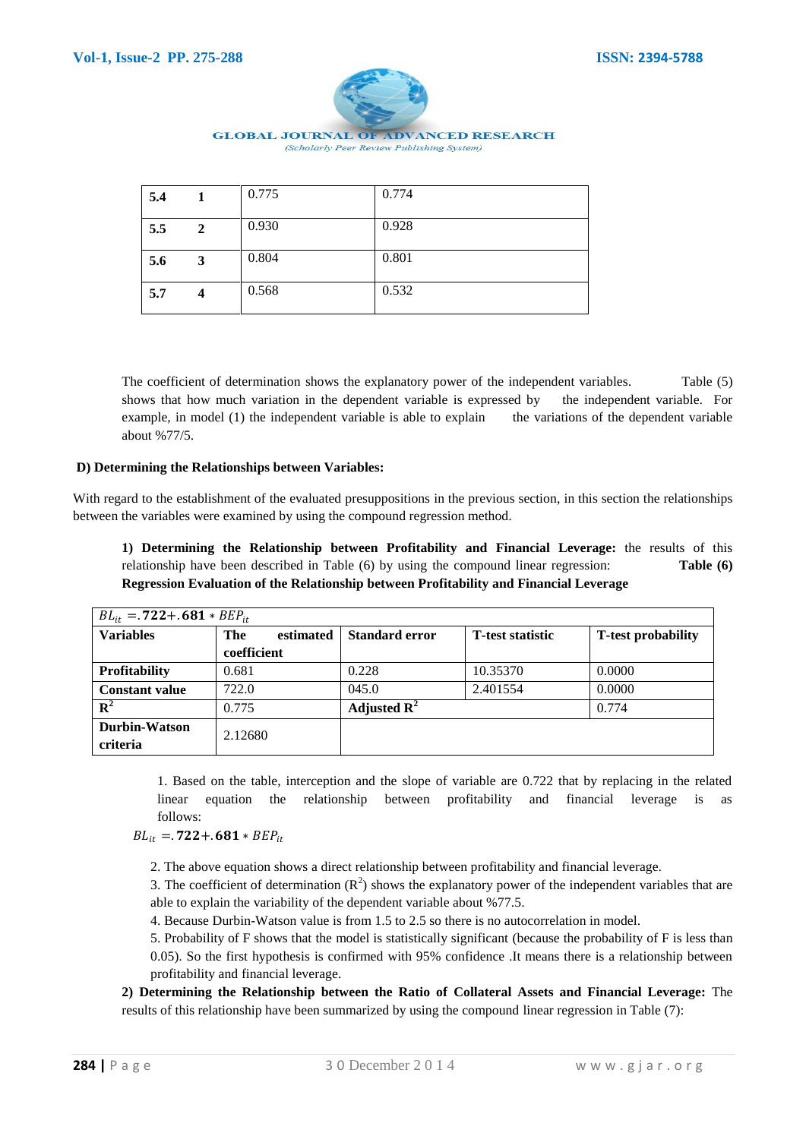

#### **GLOBAL JOURNAL OF ADVANCED RESEARCH** (Scholarly Peer Review Publishing System)

| 5.4 |                  | 0.775 | 0.774 |
|-----|------------------|-------|-------|
| 5.5 | $\mathbf{2}$     | 0.930 | 0.928 |
| 5.6 | 3                | 0.804 | 0.801 |
| 5.7 | $\boldsymbol{4}$ | 0.568 | 0.532 |

The coefficient of determination shows the explanatory power of the independent variables. Table (5) shows that how much variation in the dependent variable is expressed by the independent variable. For example, in model (1) the independent variable is able to explain the variations of the dependent variable about %77/5.

#### **D) Determining the Relationships between Variables:**

With regard to the establishment of the evaluated presuppositions in the previous section, in this section the relationships between the variables were examined by using the compound regression method.

**1) Determining the Relationship between Profitability and Financial Leverage:** the results of this relationship have been described in Table (6) by using the compound linear regression: **Table (6) Regression Evaluation of the Relationship between Profitability and Financial Leverage**

| $BL_{it} = 722 + 681 * BEP_{it}$ |                  |                         |                         |                           |  |  |
|----------------------------------|------------------|-------------------------|-------------------------|---------------------------|--|--|
| <b>Variables</b>                 | The<br>estimated | <b>Standard error</b>   | <b>T-test statistic</b> | <b>T-test probability</b> |  |  |
|                                  | coefficient      |                         |                         |                           |  |  |
| <b>Profitability</b>             | 0.681            | 0.228                   | 10.35370                | 0.0000                    |  |  |
| <b>Constant value</b>            | 722.0            | 045.0                   | 2.401554                | 0.0000                    |  |  |
| $\mathbf{R}^2$                   | 0.775            | Adjusted $\mathbb{R}^2$ |                         | 0.774                     |  |  |
| Durbin-Watson                    | 2.12680          |                         |                         |                           |  |  |
| criteria                         |                  |                         |                         |                           |  |  |

1. Based on the table, interception and the slope of variable are 0.722 that by replacing in the related linear equation the relationship between profitability and financial leverage is as follows:

 $BL_{it} = .722 + .681 * BEP_{it}$ 

2. The above equation shows a direct relationship between profitability and financial leverage.

3. The coefficient of determination  $(R^2)$  shows the explanatory power of the independent variables that are able to explain the variability of the dependent variable about %77.5.

4. Because Durbin-Watson value is from 1.5 to 2.5 so there is no autocorrelation in model.

5. Probability of F shows that the model is statistically significant (because the probability of F is less than 0.05). So the first hypothesis is confirmed with 95% confidence .It means there is a relationship between profitability and financial leverage.

**2) Determining the Relationship between the Ratio of Collateral Assets and Financial Leverage:** The results of this relationship have been summarized by using the compound linear regression in Table (7):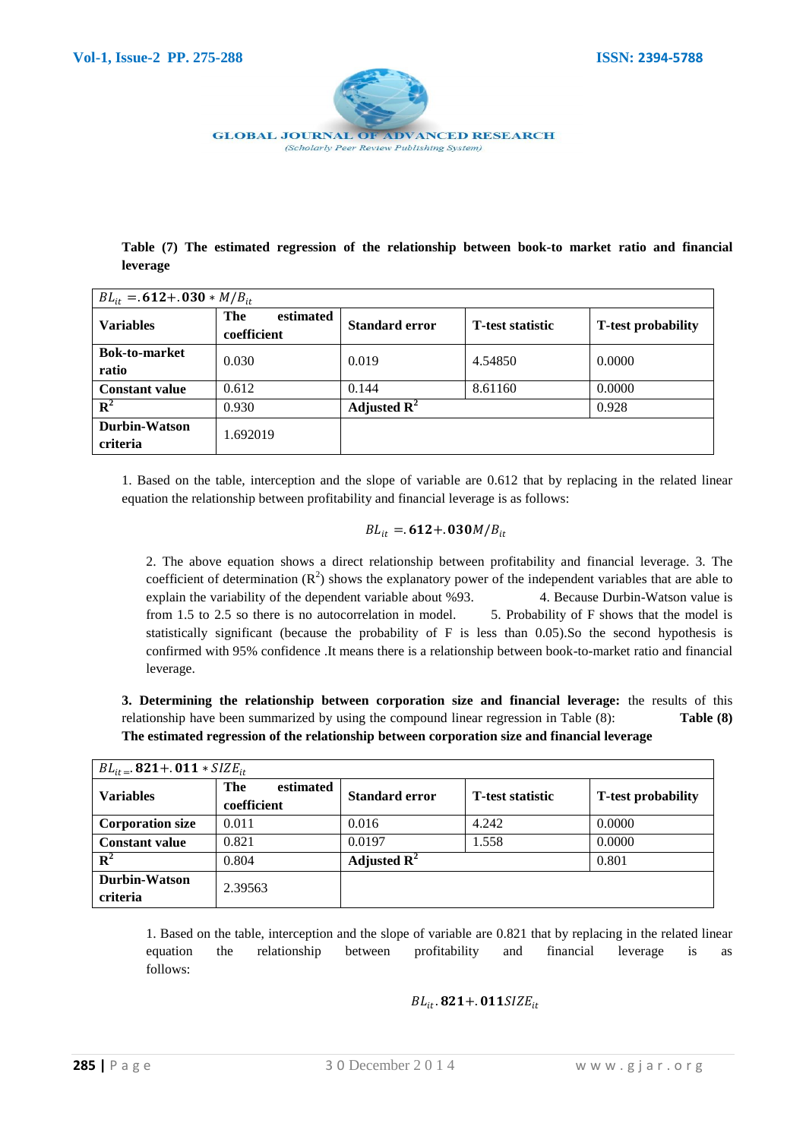

**Table (7) The estimated regression of the relationship between book-to market ratio and financial leverage**

| $BL_{it} = .612 + .030 * M/B_{it}$ |                                 |                         |                          |                            |  |  |
|------------------------------------|---------------------------------|-------------------------|--------------------------|----------------------------|--|--|
| <b>Variables</b>                   | The<br>estimated<br>coefficient | <b>Standard error</b>   | <b>T</b> -test statistic | <b>T</b> -test probability |  |  |
| <b>Bok-to-market</b><br>ratio      | 0.030                           | 0.019                   | 4.54850                  | 0.0000                     |  |  |
| <b>Constant value</b>              | 0.612                           | 0.144                   | 8.61160                  | 0.0000                     |  |  |
| ${\bf R}^2$                        | 0.930                           | Adjusted $\mathbb{R}^2$ |                          | 0.928                      |  |  |
| Durbin-Watson                      | 1.692019                        |                         |                          |                            |  |  |
| criteria                           |                                 |                         |                          |                            |  |  |

1. Based on the table, interception and the slope of variable are 0.612 that by replacing in the related linear equation the relationship between profitability and financial leverage is as follows:

$$
BL_{it} = .612 + .030M/B_{it}
$$

2. The above equation shows a direct relationship between profitability and financial leverage. 3. The coefficient of determination  $(R^2)$  shows the explanatory power of the independent variables that are able to explain the variability of the dependent variable about %93. 4. Because Durbin-Watson value is from 1.5 to 2.5 so there is no autocorrelation in model. 5. Probability of F shows that the model is statistically significant (because the probability of F is less than 0.05).So the second hypothesis is confirmed with 95% confidence .It means there is a relationship between book-to-market ratio and financial leverage.

**3. Determining the relationship between corporation size and financial leverage:** the results of this relationship have been summarized by using the compound linear regression in Table (8): **Table (8) The estimated regression of the relationship between corporation size and financial leverage**

| $BL_{it} =$ 821+.011 * $SIZE_{it}$ |                                 |                         |                          |                            |  |
|------------------------------------|---------------------------------|-------------------------|--------------------------|----------------------------|--|
| <b>Variables</b>                   | The<br>estimated<br>coefficient | <b>Standard error</b>   | <b>T</b> -test statistic | <b>T</b> -test probability |  |
| <b>Corporation size</b>            | 0.011                           | 0.016                   | 4.242                    | 0.0000                     |  |
| <b>Constant value</b>              | 0.821                           | 0.0197                  | 1.558                    | 0.0000                     |  |
| ${\bf R}^2$                        | 0.804                           | Adjusted $\mathbf{R}^2$ |                          | 0.801                      |  |
| <b>Durbin-Watson</b><br>criteria   | 2.39563                         |                         |                          |                            |  |

1. Based on the table, interception and the slope of variable are 0.821 that by replacing in the related linear equation the relationship between profitability and financial leverage is as follows:

$$
BL_{it}.{\bf 821}\hspace{-0.1cm}+\hspace{-0.1cm}.{\bf 011} SIZE_{it}
$$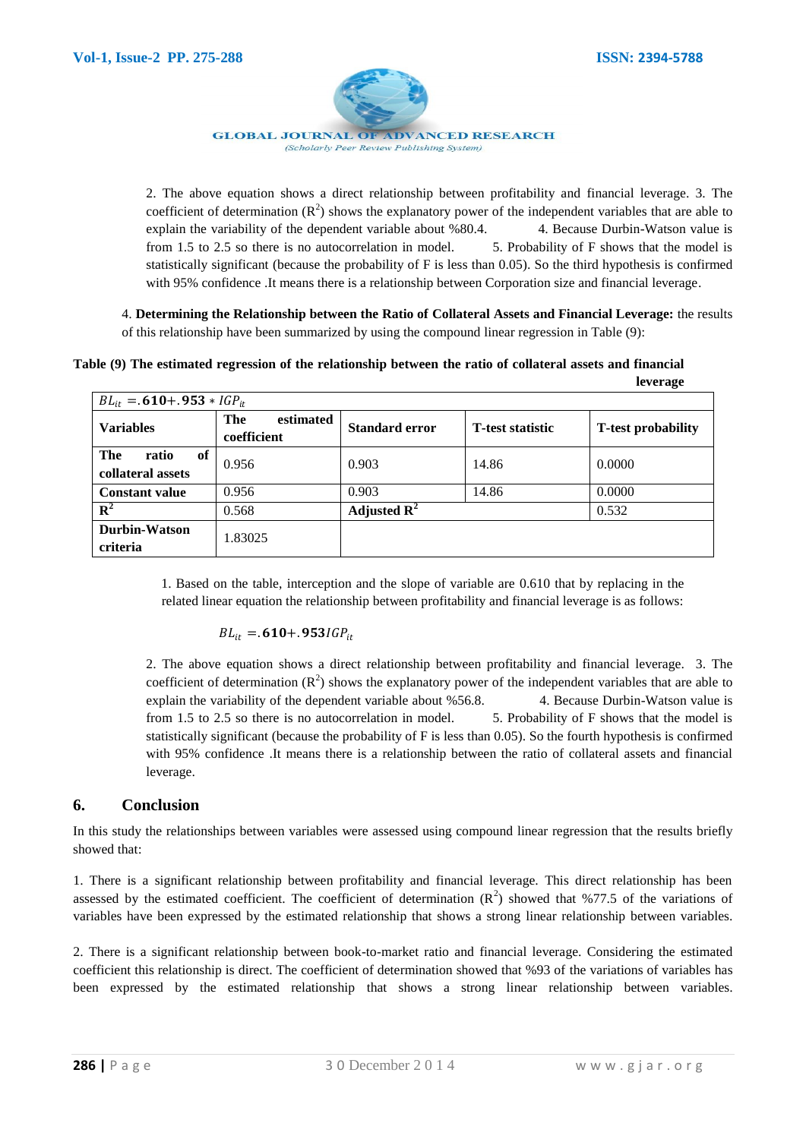

2. The above equation shows a direct relationship between profitability and financial leverage. 3. The coefficient of determination  $(R^2)$  shows the explanatory power of the independent variables that are able to explain the variability of the dependent variable about %80.4. 4. Because Durbin-Watson value is from 1.5 to 2.5 so there is no autocorrelation in model. 5. Probability of F shows that the model is statistically significant (because the probability of F is less than 0.05). So the third hypothesis is confirmed with 95% confidence .It means there is a relationship between Corporation size and financial leverage.

4. **Determining the Relationship between the Ratio of Collateral Assets and Financial Leverage:** the results of this relationship have been summarized by using the compound linear regression in Table (9):

**Table (9) The estimated regression of the relationship between the ratio of collateral assets and financial leverage**

| $BL_{it} = 610 + 953 * IGP_{it}$        |                                 |                         |                          |                            |  |  |
|-----------------------------------------|---------------------------------|-------------------------|--------------------------|----------------------------|--|--|
| <b>Variables</b>                        | The<br>estimated<br>coefficient | <b>Standard error</b>   | <b>T</b> -test statistic | <b>T</b> -test probability |  |  |
| The<br>of<br>ratio<br>collateral assets | 0.956                           | 0.903                   | 14.86                    | 0.0000                     |  |  |
| <b>Constant value</b>                   | 0.956                           | 0.903                   | 14.86                    | 0.0000                     |  |  |
| ${\bf R}^2$                             | 0.568                           | Adjusted $\mathbb{R}^2$ |                          | 0.532                      |  |  |
| <b>Durbin-Watson</b><br>criteria        | 1.83025                         |                         |                          |                            |  |  |

 1. Based on the table, interception and the slope of variable are 0.610 that by replacing in the related linear equation the relationship between profitability and financial leverage is as follows:

$$
BL_{it} = .610 + .953IGP_{it}
$$

2. The above equation shows a direct relationship between profitability and financial leverage. 3. The coefficient of determination  $(R^2)$  shows the explanatory power of the independent variables that are able to explain the variability of the dependent variable about %56.8. 4. Because Durbin-Watson value is from 1.5 to 2.5 so there is no autocorrelation in model. 5. Probability of F shows that the model is statistically significant (because the probability of F is less than 0.05). So the fourth hypothesis is confirmed with 95% confidence .It means there is a relationship between the ratio of collateral assets and financial leverage.

# **6. Conclusion**

In this study the relationships between variables were assessed using compound linear regression that the results briefly showed that:

1. There is a significant relationship between profitability and financial leverage. This direct relationship has been assessed by the estimated coefficient. The coefficient of determination  $(R^2)$  showed that %77.5 of the variations of variables have been expressed by the estimated relationship that shows a strong linear relationship between variables.

2. There is a significant relationship between book-to-market ratio and financial leverage. Considering the estimated coefficient this relationship is direct. The coefficient of determination showed that %93 of the variations of variables has been expressed by the estimated relationship that shows a strong linear relationship between variables.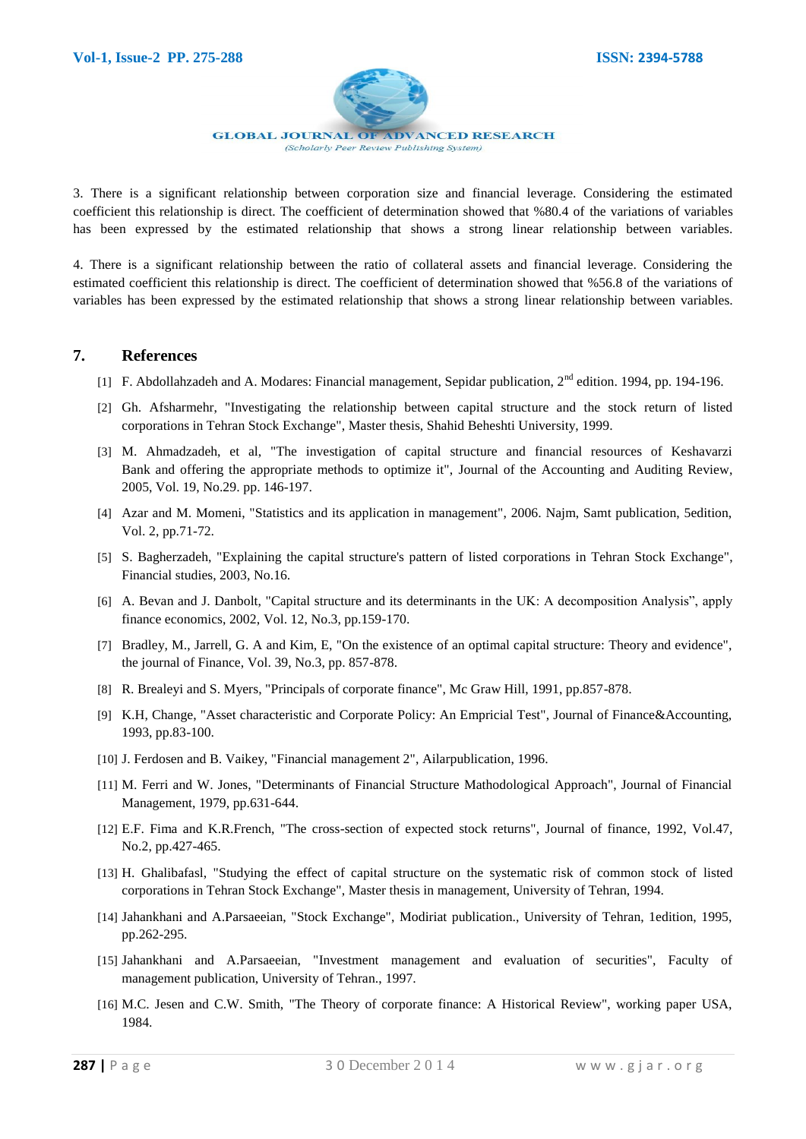

3. There is a significant relationship between corporation size and financial leverage. Considering the estimated coefficient this relationship is direct. The coefficient of determination showed that %80.4 of the variations of variables has been expressed by the estimated relationship that shows a strong linear relationship between variables.

4. There is a significant relationship between the ratio of collateral assets and financial leverage. Considering the estimated coefficient this relationship is direct. The coefficient of determination showed that %56.8 of the variations of variables has been expressed by the estimated relationship that shows a strong linear relationship between variables.

#### **7. References**

- [1] F. Abdollahzadeh and A. Modares: Financial management, Sepidar publication, 2<sup>nd</sup> edition. 1994, pp. 194-196.
- [2] Gh. Afsharmehr, "Investigating the relationship between capital structure and the stock return of listed corporations in Tehran Stock Exchange", Master thesis, Shahid Beheshti University, 1999.
- [3] M. Ahmadzadeh, et al, "The investigation of capital structure and financial resources of Keshavarzi Bank and offering the appropriate methods to optimize it", Journal of the Accounting and Auditing Review, 2005, Vol. 19, No.29. pp. 146-197.
- [4] Azar and M. Momeni, "Statistics and its application in management", 2006. Najm, Samt publication, 5edition, Vol. 2, pp.71-72.
- [5] S. Bagherzadeh, "Explaining the capital structure's pattern of listed corporations in Tehran Stock Exchange", Financial studies, 2003, No.16.
- [6] A. Bevan and J. Danbolt, "Capital structure and its determinants in the UK: A decomposition Analysis", apply finance economics, 2002, Vol. 12, No.3, pp.159-170.
- [7] Bradley, M., Jarrell, G. A and Kim, E, "On the existence of an optimal capital structure: Theory and evidence", the journal of Finance, Vol. 39, No.3, pp. 857-878.
- [8] R. Brealeyi and S. Myers, "Principals of corporate finance", Mc Graw Hill, 1991, pp.857-878.
- [9] K.H, Change, "Asset characteristic and Corporate Policy: An Empricial Test", Journal of Finance&Accounting, 1993, pp.83-100.
- [10] J. Ferdosen and B. Vaikey, "Financial management 2", Ailarpublication, 1996.
- [11] M. Ferri and W. Jones, "Determinants of Financial Structure Mathodological Approach", Journal of Financial Management, 1979, pp.631-644.
- [12] E.F. Fima and K.R.French, "The cross-section of expected stock returns", Journal of finance, 1992, Vol.47, No.2, pp.427-465.
- [13] H. Ghalibafasl, "Studying the effect of capital structure on the systematic risk of common stock of listed corporations in Tehran Stock Exchange", Master thesis in management, University of Tehran, 1994.
- [14] Jahankhani and A.Parsaeeian, "Stock Exchange", Modiriat publication., University of Tehran, 1edition, 1995, pp.262-295.
- [15] Jahankhani and A.Parsaeeian, "Investment management and evaluation of securities", Faculty of management publication, University of Tehran., 1997.
- [16] M.C. Jesen and C.W. Smith, "The Theory of corporate finance: A Historical Review", working paper USA, 1984.